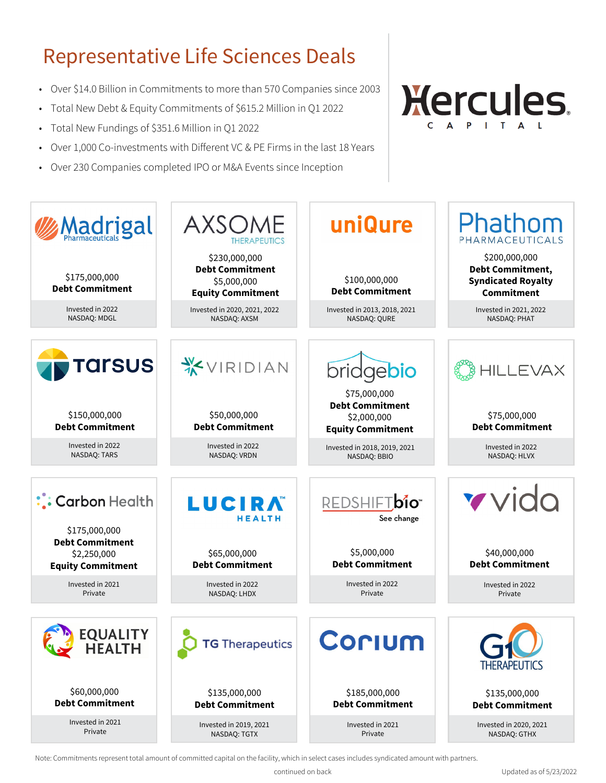# Representative Life Sciences Deals

- Over \$14.0 Billion in Commitments to more than 570 Companies since 2003
- Total New Debt & Equity Commitments of \$615.2 Million in Q1 2022
- Total New Fundings of \$351.6 Million in Q1 2022
- Over 1,000 Co-investments with Different VC & PE Firms in the last 18 Years
- Over 230 Companies completed IPO or M&A Events since Inception





Note: Commitments represent total amount of committed capital on the facility, which in select cases includes syndicated amount with partners.